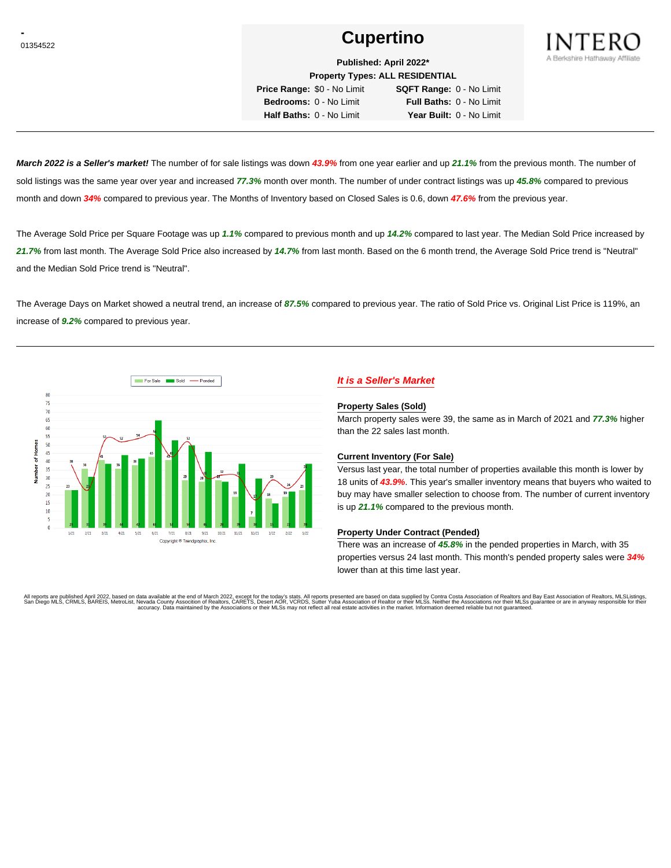# **Cupertino Cupertino**



**Published: April 2022\* Property Types: ALL RESIDENTIAL**

**Price Range:** \$0 - No Limit **SQFT Range:** 0 - No Limit **Bedrooms:** 0 - No Limit **Full Baths:** 0 - No Limit **Half Baths:** 0 - No Limit **Year Built:** 0 - No Limit

**March 2022 is a Seller's market!** The number of for sale listings was down **43.9%** from one year earlier and up **21.1%** from the previous month. The number of sold listings was the same year over year and increased **77.3%** month over month. The number of under contract listings was up **45.8%** compared to previous month and down **34%** compared to previous year. The Months of Inventory based on Closed Sales is 0.6, down **47.6%** from the previous year.

The Average Sold Price per Square Footage was up **1.1%** compared to previous month and up **14.2%** compared to last year. The Median Sold Price increased by **21.7%** from last month. The Average Sold Price also increased by **14.7%** from last month. Based on the 6 month trend, the Average Sold Price trend is "Neutral" and the Median Sold Price trend is "Neutral".

The Average Days on Market showed a neutral trend, an increase of **87.5%** compared to previous year. The ratio of Sold Price vs. Original List Price is 119%, an increase of **9.2%** compared to previous year.



# **It is a Seller's Market**

#### **Property Sales (Sold)**

March property sales were 39, the same as in March of 2021 and **77.3%** higher than the 22 sales last month.

#### **Current Inventory (For Sale)**

Versus last year, the total number of properties available this month is lower by 18 units of **43.9%**. This year's smaller inventory means that buyers who waited to buy may have smaller selection to choose from. The number of current inventory is up **21.1%** compared to the previous month.

#### **Property Under Contract (Pended)**

There was an increase of **45.8%** in the pended properties in March, with 35 properties versus 24 last month. This month's pended property sales were **34%** lower than at this time last year.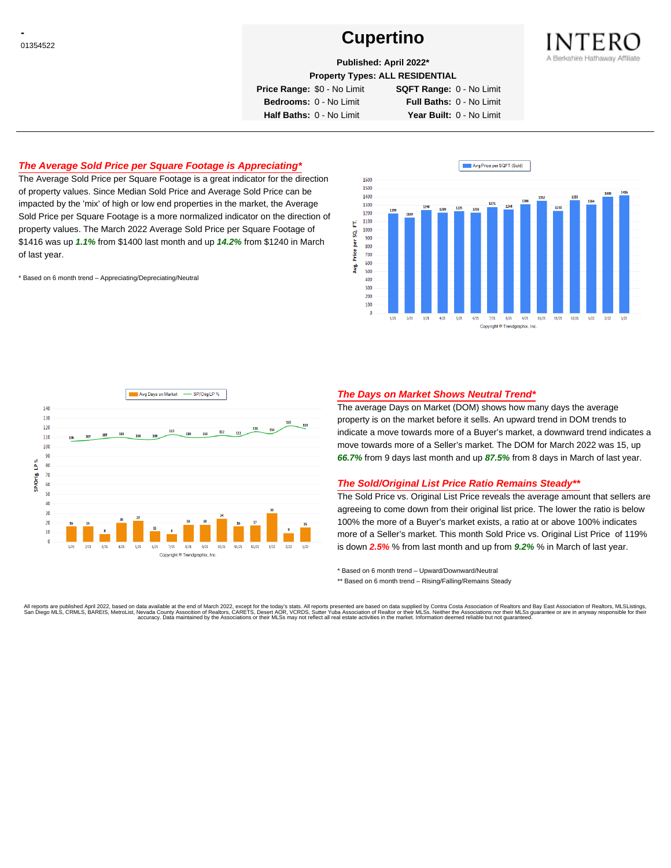# **Cupertino Cupertino**



**Published: April 2022\***

**Property Types: ALL RESIDENTIAL**

**Price Range:** \$0 - No Limit **SQFT Range:** 0 - No Limit

**Bedrooms:** 0 - No Limit **Full Baths:** 0 - No Limit **Half Baths:** 0 - No Limit **Year Built:** 0 - No Limit

## **The Average Sold Price per Square Footage is Appreciating\***

The Average Sold Price per Square Footage is a great indicator for the direction of property values. Since Median Sold Price and Average Sold Price can be impacted by the 'mix' of high or low end properties in the market, the Average Sold Price per Square Footage is a more normalized indicator on the direction of property values. The March 2022 Average Sold Price per Square Footage of \$1416 was up **1.1%** from \$1400 last month and up **14.2%** from \$1240 in March of last year.

\* Based on 6 month trend – Appreciating/Depreciating/Neutral





### **The Days on Market Shows Neutral Trend\***

The average Days on Market (DOM) shows how many days the average property is on the market before it sells. An upward trend in DOM trends to indicate a move towards more of a Buyer's market, a downward trend indicates a move towards more of a Seller's market. The DOM for March 2022 was 15, up **66.7%** from 9 days last month and up **87.5%** from 8 days in March of last year.

#### **The Sold/Original List Price Ratio Remains Steady\*\***

The Sold Price vs. Original List Price reveals the average amount that sellers are agreeing to come down from their original list price. The lower the ratio is below 100% the more of a Buyer's market exists, a ratio at or above 100% indicates more of a Seller's market. This month Sold Price vs. Original List Price of 119% is down **2.5%** % from last month and up from **9.2%** % in March of last year.

\* Based on 6 month trend – Upward/Downward/Neutral

\*\* Based on 6 month trend - Rising/Falling/Remains Steady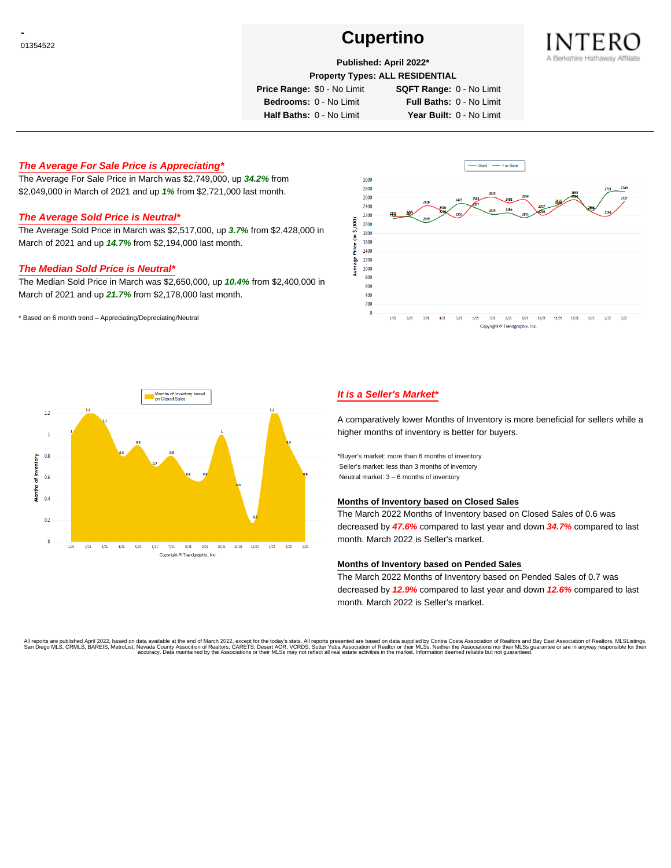# **Cupertino Cupertino**



## **Published: April 2022\***

**Property Types: ALL RESIDENTIAL**

**Price Range:** \$0 - No Limit **SQFT Range:** 0 - No Limit

**Bedrooms:** 0 - No Limit **Full Baths:** 0 - No Limit

**Half Baths:** 0 - No Limit **Year Built:** 0 - No Limit

### **The Average For Sale Price is Appreciating\***

The Average For Sale Price in March was \$2,749,000, up **34.2%** from \$2,049,000 in March of 2021 and up **1%** from \$2,721,000 last month.

#### **The Average Sold Price is Neutral\***

The Average Sold Price in March was \$2,517,000, up **3.7%** from \$2,428,000 in March of 2021 and up **14.7%** from \$2,194,000 last month.

#### **The Median Sold Price is Neutral\***

The Median Sold Price in March was \$2,650,000, up **10.4%** from \$2,400,000 in March of 2021 and up **21.7%** from \$2,178,000 last month.

\* Based on 6 month trend – Appreciating/Depreciating/Neutral





## **It is a Seller's Market\***

A comparatively lower Months of Inventory is more beneficial for sellers while a higher months of inventory is better for buyers.

\*Buyer's market: more than 6 months of inventory Seller's market: less than 3 months of inventory Neutral market: 3 – 6 months of inventory

#### **Months of Inventory based on Closed Sales**

The March 2022 Months of Inventory based on Closed Sales of 0.6 was decreased by **47.6%** compared to last year and down **34.7%** compared to last month. March 2022 is Seller's market.

#### **Months of Inventory based on Pended Sales**

The March 2022 Months of Inventory based on Pended Sales of 0.7 was decreased by **12.9%** compared to last year and down **12.6%** compared to last month. March 2022 is Seller's market.